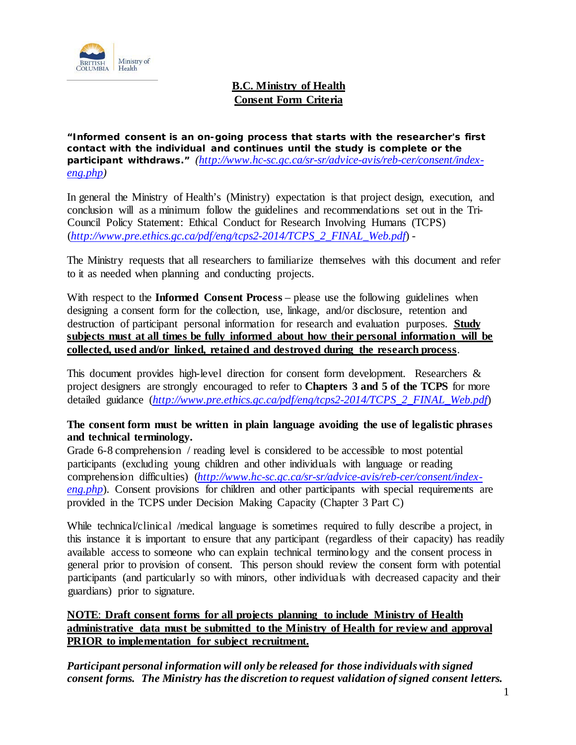

# **B.C. Ministry of Health Consent Form Criteria**

**"Informed consent is an on-going process that starts with the researcher's first contact with the individual and continues until the study is complete or the participant withdraws."** *[\(http://www.hc-sc.gc.ca/sr-sr/advice-avis/reb-cer/consent/index](http://www.hc-sc.gc.ca/sr-sr/advice-avis/reb-cer/consent/index-eng.php)[eng.php\)](http://www.hc-sc.gc.ca/sr-sr/advice-avis/reb-cer/consent/index-eng.php)*

In general the Ministry of Health's (Ministry) expectation is that project design, execution, and conclusion will as a minimum follow the guidelines and recommendations set out in the Tri-Council Policy Statement: Ethical Conduct for Research Involving Humans (TCPS) (*[http://www.pre.ethics.gc.ca/pdf/eng/tcps2-2014/TCPS\\_2\\_FINAL\\_Web.pdf](http://www.pre.ethics.gc.ca/pdf/eng/tcps2-2014/TCPS_2_FINAL_Web.pdf)*) -

The Ministry requests that all researchers to familiarize themselves with this document and refer to it as needed when planning and conducting projects.

With respect to the **Informed Consent Process** – please use the following guidelines when designing a consent form for the collection, use, linkage, and/or disclosure, retention and destruction of participant personal information for research and evaluation purposes. **Study subjects must at all times be fully informed about how their personal information will be collected, used and/or linked, retained and destroyed during the research process**.

This document provides high-level direction for consent form development. Researchers  $\&$ project designers are strongly encouraged to refer to **Chapters 3 and 5 of the TCPS** for more detailed guidance (*[http://www.pre.ethics.gc.ca/pdf/eng/tcps2-2014/TCPS\\_2\\_FINAL\\_Web.pdf](http://www.pre.ethics.gc.ca/pdf/eng/tcps2-2014/TCPS_2_FINAL_Web.pdf)*)

## **The consent form must be written in plain language avoiding the use of legalistic phrases and technical terminology.**

Grade 6-8 comprehension / reading level is considered to be accessible to most potential participants (excluding young children and other individuals with language or reading comprehension difficulties) (*[http://www.hc-sc.gc.ca/sr-sr/advice-avis/reb-cer/consent/index](http://www.hc-sc.gc.ca/sr-sr/advice-avis/reb-cer/consent/index-eng.php)[eng.php](http://www.hc-sc.gc.ca/sr-sr/advice-avis/reb-cer/consent/index-eng.php)*). Consent provisions for children and other participants with special requirements are provided in the TCPS under Decision Making Capacity (Chapter 3 Part C)

While technical/clinical /medical language is sometimes required to fully describe a project, in this instance it is important to ensure that any participant (regardless of their capacity) has readily available access to someone who can explain technical terminology and the consent process in general prior to provision of consent. This person should review the consent form with potential participants (and particularly so with minors, other individuals with decreased capacity and their guardians) prior to signature.

## **NOTE**: **Draft consent forms for all projects planning to include Ministry of Health administrative data must be submitted to the Ministry of Health for review and approval PRIOR to implementation for subject recruitment.**

*Participant personal information will only be released for those individuals with signed consent forms. The Ministry has the discretion to request validation ofsigned consent letters.*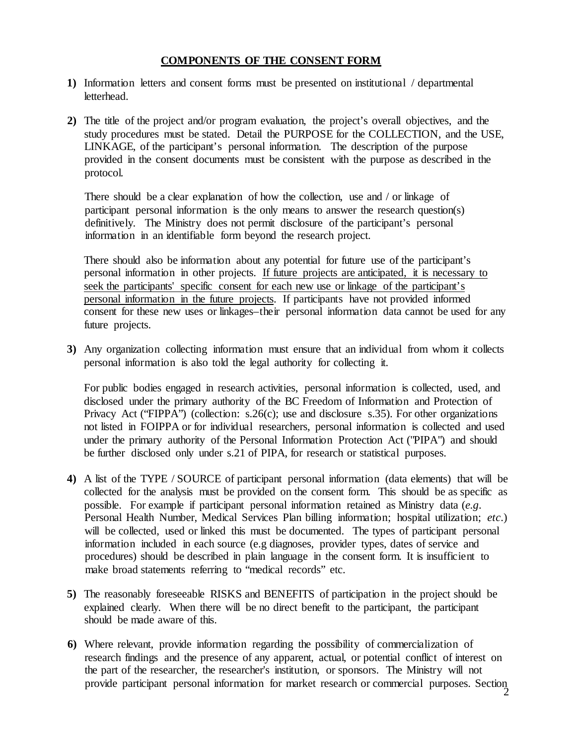#### **COMPONENTS OF THE CONSENT FORM**

- **1)** Information letters and consent forms must be presented on institutional / departmental letterhead.
- **2)** The title of the project and/or program evaluation, the project's overall objectives, and the study procedures must be stated. Detail the PURPOSE for the COLLECTION, and the USE, LINKAGE, of the participant's personal information. The description of the purpose provided in the consent documents must be consistent with the purpose as described in the protocol.

There should be a clear explanation of how the collection, use and / or linkage of participant personal information is the only means to answer the research question(s) definitively. The Ministry does not permit disclosure of the participant's personal information in an identifiable form beyond the research project.

There should also be information about any potential for future use of the participant's personal information in other projects. If future projects are anticipated, it is necessary to seek the participants' specific consent for each new use or linkage of the participant's personal information in the future projects. If participants have not provided informed consent for these new uses or linkages–their personal information data cannot be used for any future projects.

**3)** Any organization collecting information must ensure that an individual from whom it collects personal information is also told the legal authority for collecting it.

For public bodies engaged in research activities, personal information is collected, used, and disclosed under the primary authority of the BC Freedom of Information and Protection of Privacy Act ("FIPPA") (collection: s.26(c); use and disclosure s.35). For other organizations not listed in FOIPPA or for individual researchers, personal information is collected and used under the primary authority of the Personal Information Protection Act ("PIPA") and should be further disclosed only under s.21 of PIPA, for research or statistical purposes.

- **4)** A list of the TYPE / SOURCE of participant personal information (data elements) that will be collected for the analysis must be provided on the consent form. This should be as specific as possible. For example if participant personal information retained as Ministry data (*e.g*. Personal Health Number, Medical Services Plan billing information; hospital utilization; *etc*.) will be collected, used or linked this must be documented. The types of participant personal information included in each source (e.g diagnoses, provider types, dates of service and procedures) should be described in plain language in the consent form. It is insufficient to make broad statements referring to "medical records" etc.
- **5)** The reasonably foreseeable RISKS and BENEFITS of participation in the project should be explained clearly. When there will be no direct benefit to the participant, the participant should be made aware of this.
- **6)** Where relevant, provide information regarding the possibility of commercialization of research findings and the presence of any apparent, actual, or potential conflict of interest on the part of the researcher, the researcher's institution, or sponsors. The Ministry will not provide participant personal information for market research or commercial purposes. Section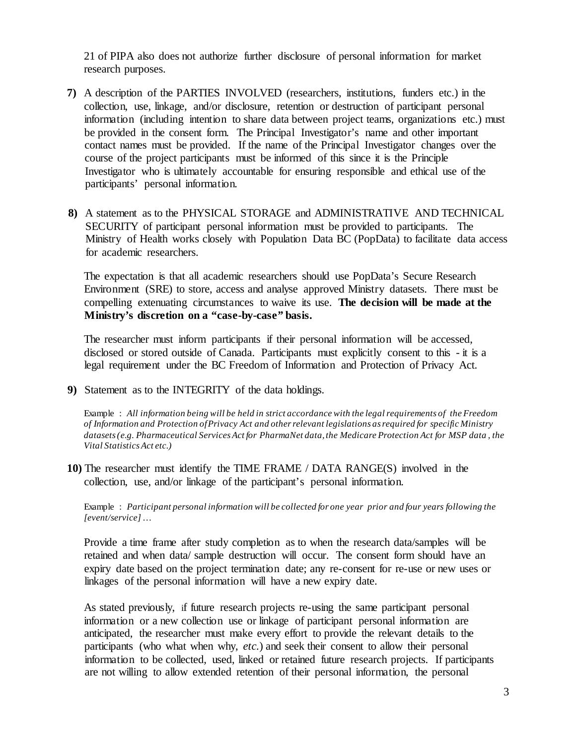21 of PIPA also does not authorize further disclosure of personal information for market research purposes.

- **7)** A description of the PARTIES INVOLVED (researchers, institutions, funders etc.) in the collection, use, linkage, and/or disclosure, retention or destruction of participant personal information (including intention to share data between project teams, organizations etc.) must be provided in the consent form. The Principal Investigator's name and other important contact names must be provided. If the name of the Principal Investigator changes over the course of the project participants must be informed of this since it is the Principle Investigator who is ultimately accountable for ensuring responsible and ethical use of the participants' personal information.
- **8)** A statement as to the PHYSICAL STORAGE and ADMINISTRATIVE AND TECHNICAL SECURITY of participant personal information must be provided to participants. The Ministry of Health works closely with Population Data BC (PopData) to facilitate data access for academic researchers.

The expectation is that all academic researchers should use PopData's Secure Research Environment (SRE) to store, access and analyse approved Ministry datasets. There must be compelling extenuating circumstances to waive its use. **The decision will be made at the Ministry's discretion on a "case-by-case" basis.**

The researcher must inform participants if their personal information will be accessed, disclosed or stored outside of Canada. Participants must explicitly consent to this - it is a legal requirement under the BC Freedom of Information and Protection of Privacy Act.

**9)** Statement as to the INTEGRITY of the data holdings.

Example : *All information being will be held in strict accordance with the legalrequirements of the Freedom of Information and Protection ofPrivacy Act and otherrelevant legislations asrequired for specific Ministry datasets(e.g. Pharmaceutical ServicesAct for PharmaNet data,the Medicare Protection Act for MSP data , the Vital StatisticsAct etc.)*

**10)** The researcher must identify the TIME FRAME / DATA RANGE(S) involved in the collection, use, and/or linkage of the participant's personal information.

Example : *Participant personal information will be collected for one year prior and four years following the [event/service]*…

Provide a time frame after study completion as to when the research data/samples will be retained and when data/ sample destruction will occur. The consent form should have an expiry date based on the project termination date; any re-consent for re-use or new uses or linkages of the personal information will have a new expiry date.

As stated previously, if future research projects re-using the same participant personal information or a new collection use or linkage of participant personal information are anticipated, the researcher must make every effort to provide the relevant details to the participants (who what when why, *etc.*) and seek their consent to allow their personal information to be collected, used, linked or retained future research projects. If participants are not willing to allow extended retention of their personal information, the personal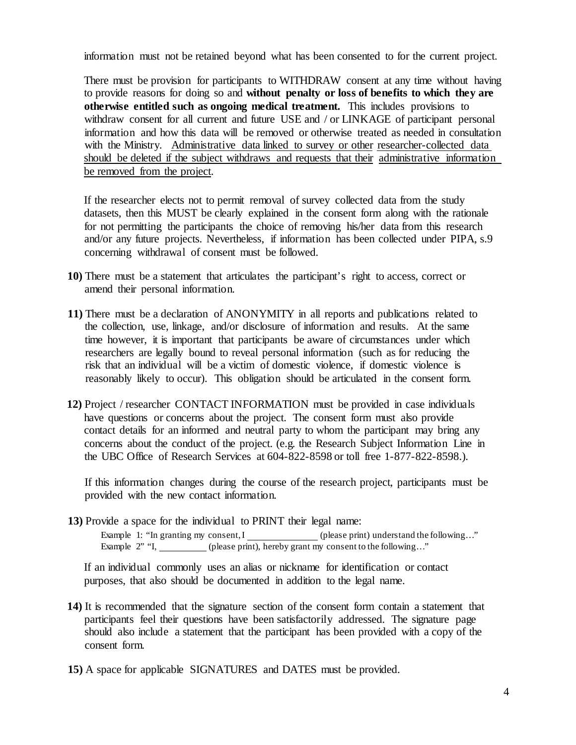information must not be retained beyond what has been consented to for the current project.

There must be provision for participants to WITHDRAW consent at any time without having to provide reasons for doing so and **without penalty or loss of benefits to which they are otherwise entitled such as ongoing medical treatment.** This includes provisions to withdraw consent for all current and future USE and / or LINKAGE of participant personal information and how this data will be removed or otherwise treated as needed in consultation with the Ministry. Administrative data linked to survey or other researcher-collected data should be deleted if the subject withdraws and requests that their administrative information be removed from the project.

If the researcher elects not to permit removal of survey collected data from the study datasets, then this MUST be clearly explained in the consent form along with the rationale for not permitting the participants the choice of removing his/her data from this research and/or any future projects. Nevertheless, if information has been collected under PIPA, s.9 concerning withdrawal of consent must be followed.

- **10)** There must be a statement that articulates the participant's right to access, correct or amend their personal information.
- **11)** There must be a declaration of ANONYMITY in all reports and publications related to the collection, use, linkage, and/or disclosure of information and results. At the same time however, it is important that participants be aware of circumstances under which researchers are legally bound to reveal personal information (such as for reducing the risk that an individual will be a victim of domestic violence, if domestic violence is reasonably likely to occur). This obligation should be articulated in the consent form.
- **12)** Project / researcher CONTACT INFORMATION must be provided in case individuals have questions or concerns about the project. The consent form must also provide contact details for an informed and neutral party to whom the participant may bring any concerns about the conduct of the project. (e.g. the Research Subject Information Line in the UBC Office of Research Services at 604-822-8598 or toll free 1-877-822-8598.).

If this information changes during the course of the research project, participants must be provided with the new contact information.

**13)** Provide a space for the individual to PRINT their legal name:

Example 1: "In granting my consent, I (please print) understand the following..." Example 2" "I, (please print), hereby grant my consent to the following..."

If an individual commonly uses an alias or nickname for identification or contact purposes, that also should be documented in addition to the legal name.

- **14)** It is recommended that the signature section of the consent form contain a statement that participants feel their questions have been satisfactorily addressed. The signature page should also include a statement that the participant has been provided with a copy of the consent form.
- **15)** A space for applicable SIGNATURES and DATES must be provided.